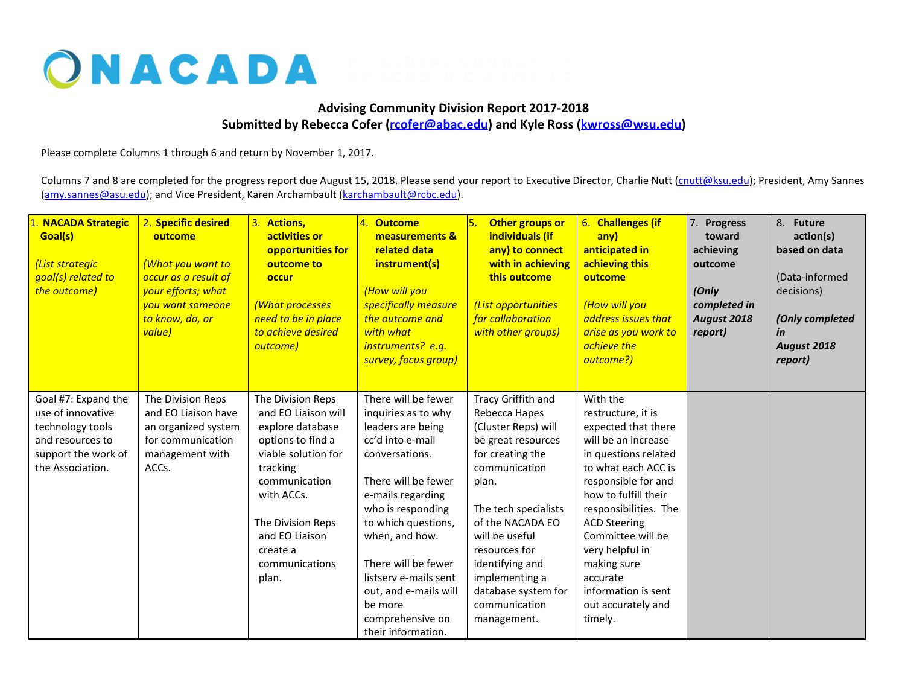## ONACADA

## **Advising Community Division Report 2017-2018 Submitted by Rebecca Cofer ([rcofer@abac.edu](mailto:rcofer@abac.edu)) and Kyle Ross ([kwross@wsu.edu](mailto:kwross@wsu.edu))**

Please complete Columns 1 through 6 and return by November 1, 2017.

Columns 7 and 8 are completed for the progress report due August 15, 2018. Please send your report to Executive Director, Charlie Nutt ([cnutt@ksu.edu\)](mailto:cnutt@ksu.edu); President, Amy Sannes [\(amy.sannes@asu.edu\)](mailto:amy.sannes@asu.edu); and Vice President, Karen Archambault ([karchambault@rcbc.edu](mailto:karchambault@rcbc.edu)).

| 1. NACADA Strategic<br>Goal(s)<br>(List strategic<br>goal(s) related to<br>the outcome)                                     | 2. Specific desired<br>outcome<br><b>(What you want to</b><br>occur as a result of<br>your efforts; what<br>you want someone<br>to know, do, or<br>value) | 3. Actions,<br>activities or<br>opportunities for<br>outcome to<br>occur<br>(What processes<br>need to be in place<br>to achieve desired<br>outcome)                                                                              | 4. Outcome<br>measurements &<br>related data<br>instrument(s)<br>(How will you<br>specifically measure<br>the outcome and<br>with what<br>instruments? e.g.<br>survey, focus group)                                                                                                                                                           | Other groups or<br>individuals (if<br>any) to connect<br>with in achieving<br>this outcome<br>(List opportunities<br>for collaboration<br>with other groups)                                                                                                                                              | 6. Challenges (if<br>any)<br>anticipated in<br>achieving this<br>outcome<br>(How will you<br>address issues that<br>arise as you work to<br>achieve the<br>outcome?)                                                                                                                                                                                  | 7. Progress<br>toward<br>achieving<br>outcome<br>(Only<br>completed in<br>August 2018<br>report) | 8. Future<br>action(s)<br>based on data<br>(Data-informed<br>decisions)<br>(Only completed<br>in<br>August 2018<br>report) |
|-----------------------------------------------------------------------------------------------------------------------------|-----------------------------------------------------------------------------------------------------------------------------------------------------------|-----------------------------------------------------------------------------------------------------------------------------------------------------------------------------------------------------------------------------------|-----------------------------------------------------------------------------------------------------------------------------------------------------------------------------------------------------------------------------------------------------------------------------------------------------------------------------------------------|-----------------------------------------------------------------------------------------------------------------------------------------------------------------------------------------------------------------------------------------------------------------------------------------------------------|-------------------------------------------------------------------------------------------------------------------------------------------------------------------------------------------------------------------------------------------------------------------------------------------------------------------------------------------------------|--------------------------------------------------------------------------------------------------|----------------------------------------------------------------------------------------------------------------------------|
| Goal #7: Expand the<br>use of innovative<br>technology tools<br>and resources to<br>support the work of<br>the Association. | The Division Reps<br>and EO Liaison have<br>an organized system<br>for communication<br>management with<br>ACCs.                                          | The Division Reps<br>and EO Liaison will<br>explore database<br>options to find a<br>viable solution for<br>tracking<br>communication<br>with ACCs.<br>The Division Reps<br>and EO Liaison<br>create a<br>communications<br>plan. | There will be fewer<br>inquiries as to why<br>leaders are being<br>cc'd into e-mail<br>conversations.<br>There will be fewer<br>e-mails regarding<br>who is responding<br>to which questions,<br>when, and how.<br>There will be fewer<br>listsery e-mails sent<br>out, and e-mails will<br>be more<br>comprehensive on<br>their information. | Tracy Griffith and<br>Rebecca Hapes<br>(Cluster Reps) will<br>be great resources<br>for creating the<br>communication<br>plan.<br>The tech specialists<br>of the NACADA EO<br>will be useful<br>resources for<br>identifying and<br>implementing a<br>database system for<br>communication<br>management. | With the<br>restructure, it is<br>expected that there<br>will be an increase<br>in questions related<br>to what each ACC is<br>responsible for and<br>how to fulfill their<br>responsibilities. The<br><b>ACD Steering</b><br>Committee will be<br>very helpful in<br>making sure<br>accurate<br>information is sent<br>out accurately and<br>timely. |                                                                                                  |                                                                                                                            |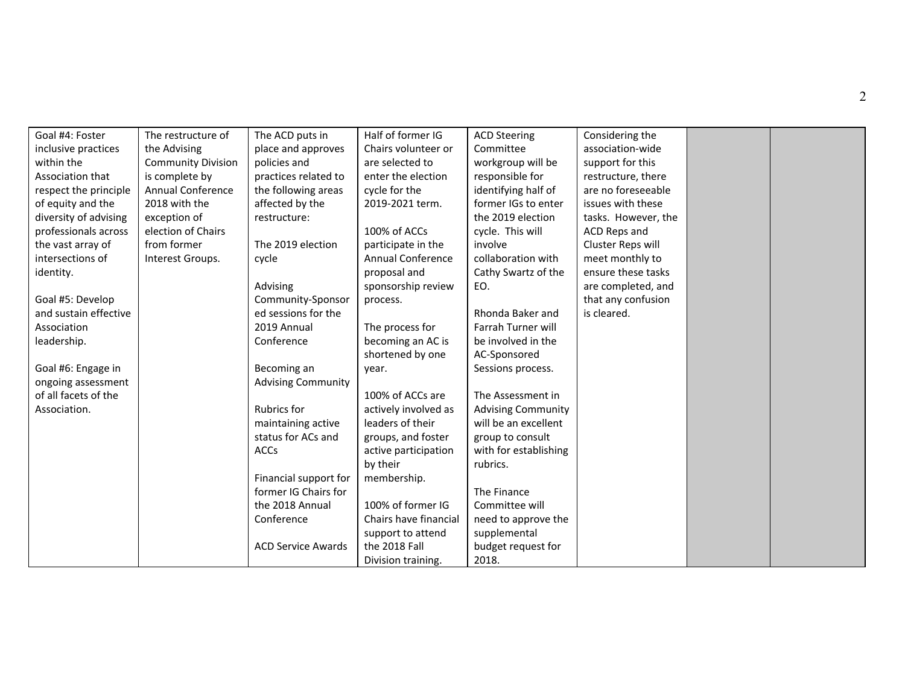| Goal #4: Foster       | The restructure of        | The ACD puts in           | Half of former IG        | <b>ACD Steering</b>       | Considering the     |  |
|-----------------------|---------------------------|---------------------------|--------------------------|---------------------------|---------------------|--|
| inclusive practices   | the Advising              | place and approves        | Chairs volunteer or      | Committee                 | association-wide    |  |
| within the            | <b>Community Division</b> | policies and              | are selected to          | workgroup will be         | support for this    |  |
| Association that      | is complete by            | practices related to      | enter the election       | responsible for           | restructure, there  |  |
| respect the principle | Annual Conference         | the following areas       | cycle for the            | identifying half of       | are no foreseeable  |  |
| of equity and the     | 2018 with the             | affected by the           | 2019-2021 term.          | former IGs to enter       | issues with these   |  |
| diversity of advising | exception of              | restructure:              |                          | the 2019 election         | tasks. However, the |  |
| professionals across  | election of Chairs        |                           | 100% of ACCs             | cycle. This will          | ACD Reps and        |  |
| the vast array of     | from former               | The 2019 election         | participate in the       | involve                   | Cluster Reps will   |  |
| intersections of      | Interest Groups.          | cycle                     | <b>Annual Conference</b> | collaboration with        | meet monthly to     |  |
| identity.             |                           |                           | proposal and             | Cathy Swartz of the       | ensure these tasks  |  |
|                       |                           | Advising                  | sponsorship review       | EO.                       | are completed, and  |  |
| Goal #5: Develop      |                           | Community-Sponsor         | process.                 |                           | that any confusion  |  |
| and sustain effective |                           | ed sessions for the       |                          | Rhonda Baker and          | is cleared.         |  |
| Association           |                           | 2019 Annual               | The process for          | Farrah Turner will        |                     |  |
| leadership.           |                           | Conference                | becoming an AC is        | be involved in the        |                     |  |
|                       |                           |                           | shortened by one         | AC-Sponsored              |                     |  |
| Goal #6: Engage in    |                           | Becoming an               | year.                    | Sessions process.         |                     |  |
| ongoing assessment    |                           | <b>Advising Community</b> |                          |                           |                     |  |
| of all facets of the  |                           |                           | 100% of ACCs are         | The Assessment in         |                     |  |
| Association.          |                           | <b>Rubrics for</b>        | actively involved as     | <b>Advising Community</b> |                     |  |
|                       |                           | maintaining active        | leaders of their         | will be an excellent      |                     |  |
|                       |                           | status for ACs and        | groups, and foster       | group to consult          |                     |  |
|                       |                           | ACCs                      | active participation     | with for establishing     |                     |  |
|                       |                           |                           | by their                 | rubrics.                  |                     |  |
|                       |                           | Financial support for     | membership.              |                           |                     |  |
|                       |                           | former IG Chairs for      |                          | The Finance               |                     |  |
|                       |                           | the 2018 Annual           | 100% of former IG        | Committee will            |                     |  |
|                       |                           | Conference                | Chairs have financial    | need to approve the       |                     |  |
|                       |                           |                           | support to attend        | supplemental              |                     |  |
|                       |                           | <b>ACD Service Awards</b> | the 2018 Fall            | budget request for        |                     |  |
|                       |                           |                           | Division training.       | 2018.                     |                     |  |